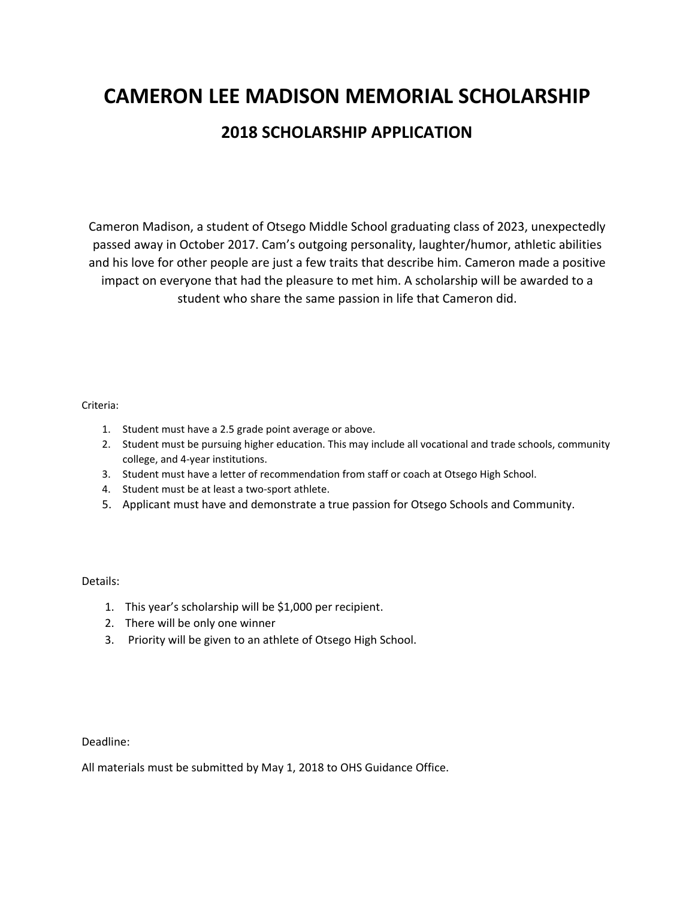# **CAMERON LEE MADISON MEMORIAL SCHOLARSHIP 2018 SCHOLARSHIP APPLICATION**

Cameron Madison, a student of Otsego Middle School graduating class of 2023, unexpectedly passed away in October 2017. Cam's outgoing personality, laughter/humor, athletic abilities and his love for other people are just a few traits that describe him. Cameron made a positive impact on everyone that had the pleasure to met him. A scholarship will be awarded to a student who share the same passion in life that Cameron did.

#### Criteria:

- 1. Student must have a 2.5 grade point average or above.
- 2. Student must be pursuing higher education. This may include all vocational and trade schools, community college, and 4-year institutions.
- 3. Student must have a letter of recommendation from staff or coach at Otsego High School.
- 4. Student must be at least a two-sport athlete.
- 5. Applicant must have and demonstrate a true passion for Otsego Schools and Community.

#### Details:

- 1. This year's scholarship will be \$1,000 per recipient.
- 2. There will be only one winner
- 3. Priority will be given to an athlete of Otsego High School.

Deadline:

All materials must be submitted by May 1, 2018 to OHS Guidance Office.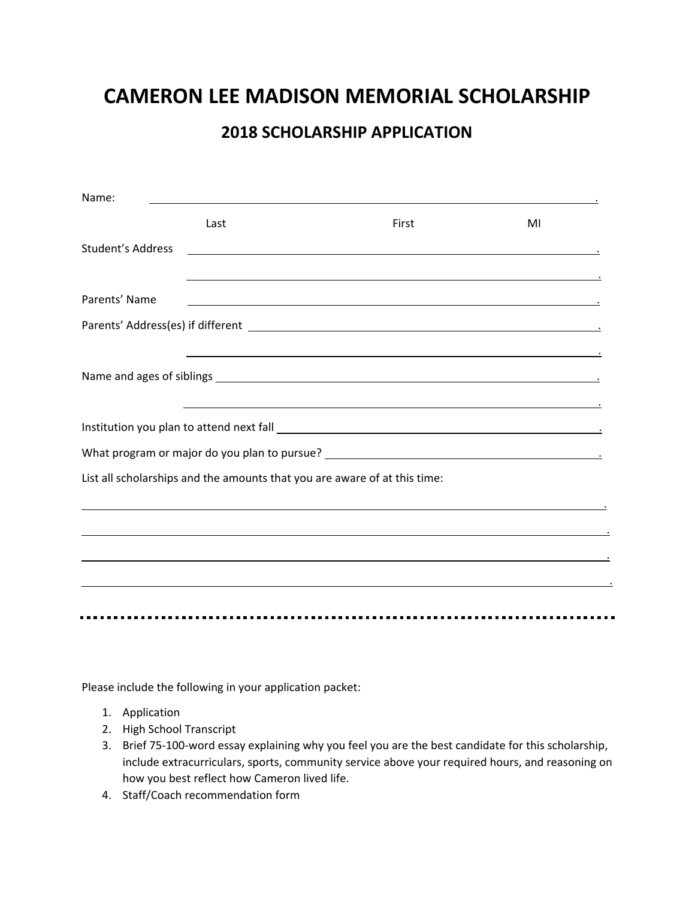## **CAMERON LEE MADISON MEMORIAL SCHOLARSHIP**

### **2018 SCHOLARSHIP APPLICATION**

| Name:                    |      |                                                                                                                       |    |
|--------------------------|------|-----------------------------------------------------------------------------------------------------------------------|----|
|                          | Last | First                                                                                                                 | MI |
| <b>Student's Address</b> |      | <u> 1989 - Johann Stoff, deutscher Stoff, der Stoff, der Stoff, der Stoff, der Stoff, der Stoff, der Stoff, der S</u> |    |
| Parents' Name            |      | <u> 1989 - Johann Stoff, amerikansk politiker (* 1908)</u>                                                            |    |
|                          |      |                                                                                                                       |    |
|                          |      | the contract of the contract of the contract of the contract of the contract of the contract of the contract of       |    |
|                          |      | the contract of the contract of the contract of the contract of the contract of the contract of the contract of       |    |
|                          |      |                                                                                                                       |    |
|                          |      | List all scholarships and the amounts that you are aware of at this time:                                             |    |
|                          |      |                                                                                                                       |    |
|                          |      |                                                                                                                       |    |
|                          |      |                                                                                                                       |    |
|                          |      |                                                                                                                       |    |

Please include the following in your application packet:

- 1. Application
- 2. High School Transcript
- 3. Brief 75-100-word essay explaining why you feel you are the best candidate for this scholarship, include extracurriculars, sports, community service above your required hours, and reasoning on how you best reflect how Cameron lived life.
- 4. Staff/Coach recommendation form